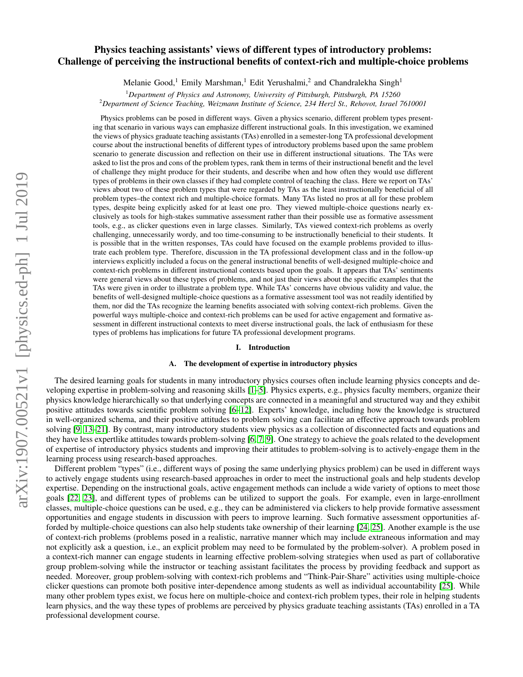# Physics teaching assistants' views of different types of introductory problems: Challenge of perceiving the instructional benefits of context-rich and multiple-choice problems

Melanie Good,<sup>1</sup> Emily Marshman,<sup>1</sup> Edit Yerushalmi,<sup>2</sup> and Chandralekha Singh<sup>1</sup>

<sup>1</sup>*Department of Physics and Astronomy, University of Pittsburgh, Pittsburgh, PA 15260* <sup>2</sup>*Department of Science Teaching, Weizmann Institute of Science, 234 Herzl St., Rehovot, Israel 7610001*

Physics problems can be posed in different ways. Given a physics scenario, different problem types presenting that scenario in various ways can emphasize different instructional goals. In this investigation, we examined the views of physics graduate teaching assistants (TAs) enrolled in a semester-long TA professional development course about the instructional benefits of different types of introductory problems based upon the same problem scenario to generate discussion and reflection on their use in different instructional situations. The TAs were asked to list the pros and cons of the problem types, rank them in terms of their instructional benefit and the level of challenge they might produce for their students, and describe when and how often they would use different types of problems in their own classes if they had complete control of teaching the class. Here we report on TAs' views about two of these problem types that were regarded by TAs as the least instructionally beneficial of all problem types–the context rich and multiple-choice formats. Many TAs listed no pros at all for these problem types, despite being explicitly asked for at least one pro. They viewed multiple-choice questions nearly exclusively as tools for high-stakes summative assessment rather than their possible use as formative assessment tools, e.g., as clicker questions even in large classes. Similarly, TAs viewed context-rich problems as overly challenging, unnecessarily wordy, and too time-consuming to be instructionally beneficial to their students. It is possible that in the written responses, TAs could have focused on the example problems provided to illustrate each problem type. Therefore, discussion in the TA professional development class and in the follow-up interviews explicitly included a focus on the general instructional benefits of well-designed multiple-choice and context-rich problems in different instructional contexts based upon the goals. It appears that TAs' sentiments were general views about these types of problems, and not just their views about the specific examples that the TAs were given in order to illustrate a problem type. While TAs' concerns have obvious validity and value, the benefits of well-designed multiple-choice questions as a formative assessment tool was not readily identified by them, nor did the TAs recognize the learning benefits associated with solving context-rich problems. Given the powerful ways multiple-choice and context-rich problems can be used for active engagement and formative assessment in different instructional contexts to meet diverse instructional goals, the lack of enthusiasm for these types of problems has implications for future TA professional development programs.

### I. Introduction

#### A. The development of expertise in introductory physics

The desired learning goals for students in many introductory physics courses often include learning physics concepts and developing expertise in problem-solving and reasoning skills [\[1](#page-13-0)[–5\]](#page-13-1). Physics experts, e.g., physics faculty members, organize their physics knowledge hierarchically so that underlying concepts are connected in a meaningful and structured way and they exhibit positive attitudes towards scientific problem solving [\[6](#page-13-2)[–12\]](#page-13-3). Experts' knowledge, including how the knowledge is structured in well-organized schema, and their positive attitudes to problem solving can facilitate an effective approach towards problem solving [\[9,](#page-13-4) [13–](#page-13-5)[21\]](#page-13-6). By contrast, many introductory students view physics as a collection of disconnected facts and equations and they have less expertlike attitudes towards problem-solving [\[6,](#page-13-2) [7,](#page-13-7) [9\]](#page-13-4). One strategy to achieve the goals related to the development of expertise of introductory physics students and improving their attitudes to problem-solving is to actively-engage them in the learning process using research-based approaches.

Different problem "types" (i.e., different ways of posing the same underlying physics problem) can be used in different ways to actively engage students using research-based approaches in order to meet the instructional goals and help students develop expertise. Depending on the instructional goals, active engagement methods can include a wide variety of options to meet those goals [\[22,](#page-13-8) [23\]](#page-13-9), and different types of problems can be utilized to support the goals. For example, even in large-enrollment classes, multiple-choice questions can be used, e.g., they can be administered via clickers to help provide formative assessment opportunities and engage students in discussion with peers to improve learning. Such formative assessment opportunities afforded by multiple-choice questions can also help students take ownership of their learning [\[24,](#page-13-10) [25\]](#page-13-11). Another example is the use of context-rich problems (problems posed in a realistic, narrative manner which may include extraneous information and may not explicitly ask a question, i.e., an explicit problem may need to be formulated by the problem-solver). A problem posed in a context-rich manner can engage students in learning effective problem-solving strategies when used as part of collaborative group problem-solving while the instructor or teaching assistant facilitates the process by providing feedback and support as needed. Moreover, group problem-solving with context-rich problems and "Think-Pair-Share" activities using multiple-choice clicker questions can promote both positive inter-dependence among students as well as individual accountability [\[25\]](#page-13-11). While many other problem types exist, we focus here on multiple-choice and context-rich problem types, their role in helping students learn physics, and the way these types of problems are perceived by physics graduate teaching assistants (TAs) enrolled in a TA professional development course.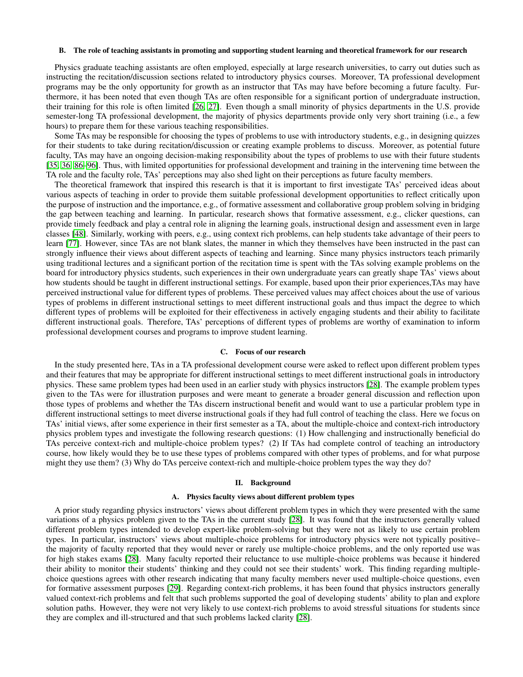### B. The role of teaching assistants in promoting and supporting student learning and theoretical framework for our research

Physics graduate teaching assistants are often employed, especially at large research universities, to carry out duties such as instructing the recitation/discussion sections related to introductory physics courses. Moreover, TA professional development programs may be the only opportunity for growth as an instructor that TAs may have before becoming a future faculty. Furthermore, it has been noted that even though TAs are often responsible for a significant portion of undergraduate instruction, their training for this role is often limited [\[26,](#page-13-12) [27\]](#page-13-13). Even though a small minority of physics departments in the U.S. provide semester-long TA professional development, the majority of physics departments provide only very short training (i.e., a few hours) to prepare them for these various teaching responsibilities.

Some TAs may be responsible for choosing the types of problems to use with introductory students, e.g., in designing quizzes for their students to take during recitation/discussion or creating example problems to discuss. Moreover, as potential future faculty, TAs may have an ongoing decision-making responsibility about the types of problems to use with their future students [\[35,](#page-14-0) [36,](#page-14-1) [86](#page-15-0)[–96\]](#page-15-1). Thus, with limited opportunities for professional development and training in the intervening time between the TA role and the faculty role, TAs' perceptions may also shed light on their perceptions as future faculty members.

The theoretical framework that inspired this research is that it is important to first investigate TAs' perceived ideas about various aspects of teaching in order to provide them suitable professional development opportunities to reflect critically upon the purpose of instruction and the importance, e.g., of formative assessment and collaborative group problem solving in bridging the gap between teaching and learning. In particular, research shows that formative assessment, e.g., clicker questions, can provide timely feedback and play a central role in aligning the learning goals, instructional design and assessment even in large classes [\[48\]](#page-14-2). Similarly, working with peers, e.g., using context rich problems, can help students take advantage of their peers to learn [\[77\]](#page-15-2). However, since TAs are not blank slates, the manner in which they themselves have been instructed in the past can strongly influence their views about different aspects of teaching and learning. Since many physics instructors teach primarily using traditional lectures and a significant portion of the recitation time is spent with the TAs solving example problems on the board for introductory physics students, such experiences in their own undergraduate years can greatly shape TAs' views about how students should be taught in different instructional settings. For example, based upon their prior experiences,TAs may have perceived instructional value for different types of problems. These perceived values may affect choices about the use of various types of problems in different instructional settings to meet different instructional goals and thus impact the degree to which different types of problems will be exploited for their effectiveness in actively engaging students and their ability to facilitate different instructional goals. Therefore, TAs' perceptions of different types of problems are worthy of examination to inform professional development courses and programs to improve student learning.

### C. Focus of our research

In the study presented here, TAs in a TA professional development course were asked to reflect upon different problem types and their features that may be appropriate for different instructional settings to meet different instructional goals in introductory physics. These same problem types had been used in an earlier study with physics instructors [\[28\]](#page-13-14). The example problem types given to the TAs were for illustration purposes and were meant to generate a broader general discussion and reflection upon those types of problems and whether the TAs discern instructional benefit and would want to use a particular problem type in different instructional settings to meet diverse instructional goals if they had full control of teaching the class. Here we focus on TAs' initial views, after some experience in their first semester as a TA, about the multiple-choice and context-rich introductory physics problem types and investigate the following research questions: (1) How challenging and instructionally beneficial do TAs perceive context-rich and multiple-choice problem types? (2) If TAs had complete control of teaching an introductory course, how likely would they be to use these types of problems compared with other types of problems, and for what purpose might they use them? (3) Why do TAs perceive context-rich and multiple-choice problem types the way they do?

#### II. Background

#### A. Physics faculty views about different problem types

A prior study regarding physics instructors' views about different problem types in which they were presented with the same variations of a physics problem given to the TAs in the current study [\[28\]](#page-13-14). It was found that the instructors generally valued different problem types intended to develop expert-like problem-solving but they were not as likely to use certain problem types. In particular, instructors' views about multiple-choice problems for introductory physics were not typically positive– the majority of faculty reported that they would never or rarely use multiple-choice problems, and the only reported use was for high stakes exams [\[28\]](#page-13-14). Many faculty reported their reluctance to use multiple-choice problems was because it hindered their ability to monitor their students' thinking and they could not see their students' work. This finding regarding multiplechoice questions agrees with other research indicating that many faculty members never used multiple-choice questions, even for formative assessment purposes [\[29\]](#page-13-15). Regarding context-rich problems, it has been found that physics instructors generally valued context-rich problems and felt that such problems supported the goal of developing students' ability to plan and explore solution paths. However, they were not very likely to use context-rich problems to avoid stressful situations for students since they are complex and ill-structured and that such problems lacked clarity [\[28\]](#page-13-14).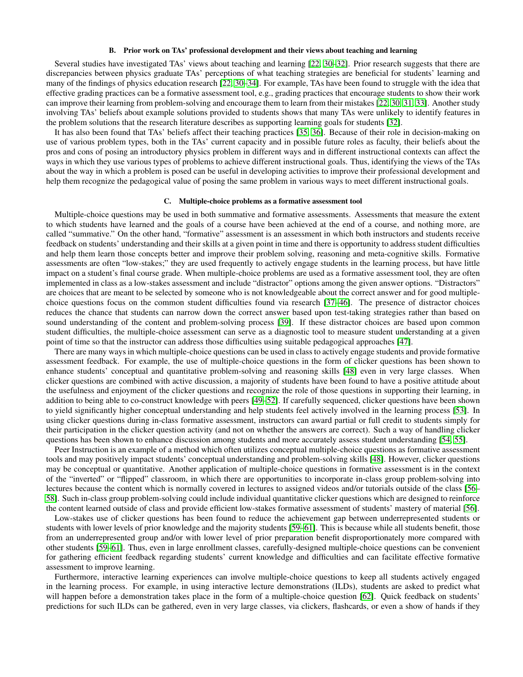### B. Prior work on TAs' professional development and their views about teaching and learning

Several studies have investigated TAs' views about teaching and learning [\[22,](#page-13-8) [30](#page-13-16)[–32\]](#page-13-17). Prior research suggests that there are discrepancies between physics graduate TAs' perceptions of what teaching strategies are beneficial for students' learning and many of the findings of physics education research [\[22,](#page-13-8) [30](#page-13-16)[–34\]](#page-14-3). For example, TAs have been found to struggle with the idea that effective grading practices can be a formative assessment tool, e.g., grading practices that encourage students to show their work can improve their learning from problem-solving and encourage them to learn from their mistakes [\[22,](#page-13-8) [30,](#page-13-16) [31,](#page-13-18) [33\]](#page-13-19). Another study involving TAs' beliefs about example solutions provided to students shows that many TAs were unlikely to identify features in the problem solutions that the research literature describes as supporting learning goals for students [\[32\]](#page-13-17).

It has also been found that TAs' beliefs affect their teaching practices [\[35,](#page-14-0) [36\]](#page-14-1). Because of their role in decision-making on use of various problem types, both in the TAs' current capacity and in possible future roles as faculty, their beliefs about the pros and cons of posing an introductory physics problem in different ways and in different instructional contexts can affect the ways in which they use various types of problems to achieve different instructional goals. Thus, identifying the views of the TAs about the way in which a problem is posed can be useful in developing activities to improve their professional development and help them recognize the pedagogical value of posing the same problem in various ways to meet different instructional goals.

### C. Multiple-choice problems as a formative assessment tool

Multiple-choice questions may be used in both summative and formative assessments. Assessments that measure the extent to which students have learned and the goals of a course have been achieved at the end of a course, and nothing more, are called "summative." On the other hand, "formative" assessment is an assessment in which both instructors and students receive feedback on students' understanding and their skills at a given point in time and there is opportunity to address student difficulties and help them learn those concepts better and improve their problem solving, reasoning and meta-cognitive skills. Formative assessments are often "low-stakes;" they are used frequently to actively engage students in the learning process, but have little impact on a student's final course grade. When multiple-choice problems are used as a formative assessment tool, they are often implemented in class as a low-stakes assessment and include "distractor" options among the given answer options. "Distractors" are choices that are meant to be selected by someone who is not knowledgeable about the correct answer and for good multiplechoice questions focus on the common student difficulties found via research [\[37](#page-14-4)[–46\]](#page-14-5). The presence of distractor choices reduces the chance that students can narrow down the correct answer based upon test-taking strategies rather than based on sound understanding of the content and problem-solving process [\[39\]](#page-14-6). If these distractor choices are based upon common student difficulties, the multiple-choice assessment can serve as a diagnostic tool to measure student understanding at a given point of time so that the instructor can address those difficulties using suitable pedagogical approaches [\[47\]](#page-14-7).

There are many ways in which multiple-choice questions can be used in class to actively engage students and provide formative assessment feedback. For example, the use of multiple-choice questions in the form of clicker questions has been shown to enhance students' conceptual and quantitative problem-solving and reasoning skills [\[48\]](#page-14-2) even in very large classes. When clicker questions are combined with active discussion, a majority of students have been found to have a positive attitude about the usefulness and enjoyment of the clicker questions and recognize the role of those questions in supporting their learning, in addition to being able to co-construct knowledge with peers [\[49–](#page-14-8)[52\]](#page-14-9). If carefully sequenced, clicker questions have been shown to yield significantly higher conceptual understanding and help students feel actively involved in the learning process [\[53\]](#page-14-10). In using clicker questions during in-class formative assessment, instructors can award partial or full credit to students simply for their participation in the clicker question activity (and not on whether the answers are correct). Such a way of handling clicker questions has been shown to enhance discussion among students and more accurately assess student understanding [\[54,](#page-14-11) [55\]](#page-14-12).

Peer Instruction is an example of a method which often utilizes conceptual multiple-choice questions as formative assessment tools and may positively impact students' conceptual understanding and problem-solving skills [\[48\]](#page-14-2). However, clicker questions may be conceptual or quantitative. Another application of multiple-choice questions in formative assessment is in the context of the "inverted" or "flipped" classroom, in which there are opportunities to incorporate in-class group problem-solving into lectures because the content which is normally covered in lectures to assigned videos and/or tutorials outside of the class [\[56–](#page-14-13) [58\]](#page-14-14). Such in-class group problem-solving could include individual quantitative clicker questions which are designed to reinforce the content learned outside of class and provide efficient low-stakes formative assessment of students' mastery of material [\[56\]](#page-14-13).

Low-stakes use of clicker questions has been found to reduce the achievement gap between underrepresented students or students with lower levels of prior knowledge and the majority students [\[59](#page-14-15)[–61\]](#page-14-16). This is because while all students benefit, those from an underrepresented group and/or with lower level of prior preparation benefit disproportionately more compared with other students [\[59–](#page-14-15)[61\]](#page-14-16). Thus, even in large enrollment classes, carefully-designed multiple-choice questions can be convenient for gathering efficient feedback regarding students' current knowledge and difficulties and can facilitate effective formative assessment to improve learning.

Furthermore, interactive learning experiences can involve multiple-choice questions to keep all students actively engaged in the learning process. For example, in using interactive lecture demonstrations (ILDs), students are asked to predict what will happen before a demonstration takes place in the form of a multiple-choice question [\[62\]](#page-14-17). Quick feedback on students' predictions for such ILDs can be gathered, even in very large classes, via clickers, flashcards, or even a show of hands if they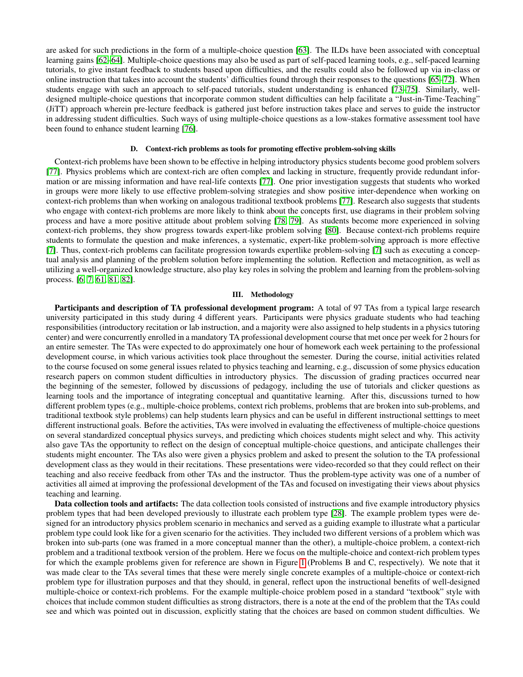are asked for such predictions in the form of a multiple-choice question [\[63\]](#page-14-18). The ILDs have been associated with conceptual learning gains [\[62–](#page-14-17)[64\]](#page-14-19). Multiple-choice questions may also be used as part of self-paced learning tools, e.g., self-paced learning tutorials, to give instant feedback to students based upon difficulties, and the results could also be followed up via in-class or online instruction that takes into account the students' difficulties found through their responses to the questions [\[65](#page-14-20)[–72\]](#page-14-21). When students engage with such an approach to self-paced tutorials, student understanding is enhanced [\[73](#page-15-3)[–75\]](#page-15-4). Similarly, welldesigned multiple-choice questions that incorporate common student difficulties can help facilitate a "Just-in-Time-Teaching" (JiTT) approach wherein pre-lecture feedback is gathered just before instruction takes place and serves to guide the instructor in addressing student difficulties. Such ways of using multiple-choice questions as a low-stakes formative assessment tool have been found to enhance student learning [\[76\]](#page-15-5).

#### D. Context-rich problems as tools for promoting effective problem-solving skills

Context-rich problems have been shown to be effective in helping introductory physics students become good problem solvers [\[77\]](#page-15-2). Physics problems which are context-rich are often complex and lacking in structure, frequently provide redundant information or are missing information and have real-life contexts [\[77\]](#page-15-2). One prior investigation suggests that students who worked in groups were more likely to use effective problem-solving strategies and show positive inter-dependence when working on context-rich problems than when working on analogous traditional textbook problems [\[77\]](#page-15-2). Research also suggests that students who engage with context-rich problems are more likely to think about the concepts first, use diagrams in their problem solving process and have a more positive attitude about problem solving [\[78,](#page-15-6) [79\]](#page-15-7). As students become more experienced in solving context-rich problems, they show progress towards expert-like problem solving [\[80\]](#page-15-8). Because context-rich problems require students to formulate the question and make inferences, a systematic, expert-like problem-solving approach is more effective [\[7\]](#page-13-7). Thus, context-rich problems can facilitate progression towards expertlike problem-solving [\[7\]](#page-13-7) such as executing a conceptual analysis and planning of the problem solution before implementing the solution. Reflection and metacognition, as well as utilizing a well-organized knowledge structure, also play key roles in solving the problem and learning from the problem-solving process. [\[6,](#page-13-2) [7,](#page-13-7) [61,](#page-14-16) [81,](#page-15-9) [82\]](#page-15-10).

#### III. Methodology

Participants and description of TA professional development program: A total of 97 TAs from a typical large research university participated in this study during 4 different years. Participants were physics graduate students who had teaching responsibilities (introductory recitation or lab instruction, and a majority were also assigned to help students in a physics tutoring center) and were concurrently enrolled in a mandatory TA professional development course that met once per week for 2 hours for an entire semester. The TAs were expected to do approximately one hour of homework each week pertaining to the professional development course, in which various activities took place throughout the semester. During the course, initial activities related to the course focused on some general issues related to physics teaching and learning, e.g., discussion of some physics education research papers on common student difficulties in introductory physics. The discussion of grading practices occurred near the beginning of the semester, followed by discussions of pedagogy, including the use of tutorials and clicker questions as learning tools and the importance of integrating conceptual and quantitative learning. After this, discussions turned to how different problem types (e.g., multiple-choice problems, context rich problems, problems that are broken into sub-problems, and traditional textbook style problems) can help students learn physics and can be useful in different instructional setttings to meet different instructional goals. Before the activities, TAs were involved in evaluating the effectiveness of multiple-choice questions on several standardized conceptual physics surveys, and predicting which choices students might select and why. This activity also gave TAs the opportunity to reflect on the design of conceptual multiple-choice questions, and anticipate challenges their students might encounter. The TAs also were given a physics problem and asked to present the solution to the TA professional development class as they would in their recitations. These presentations were video-recorded so that they could reflect on their teaching and also receive feedback from other TAs and the instructor. Thus the problem-type activity was one of a number of activities all aimed at improving the professional development of the TAs and focused on investigating their views about physics teaching and learning.

Data collection tools and artifacts: The data collection tools consisted of instructions and five example introductory physics problem types that had been developed previously to illustrate each problem type [\[28\]](#page-13-14). The example problem types were designed for an introductory physics problem scenario in mechanics and served as a guiding example to illustrate what a particular problem type could look like for a given scenario for the activities. They included two different versions of a problem which was broken into sub-parts (one was framed in a more conceptual manner than the other), a multiple-choice problem, a context-rich problem and a traditional textbook version of the problem. Here we focus on the multiple-choice and context-rich problem types for which the example problems given for reference are shown in Figure [1](#page-5-0) (Problems B and C, respectively). We note that it was made clear to the TAs several times that these were merely single concrete examples of a multiple-choice or context-rich problem type for illustration purposes and that they should, in general, reflect upon the instructional benefits of well-designed multiple-choice or context-rich problems. For the example multiple-choice problem posed in a standard "textbook" style with choices that include common student difficulties as strong distractors, there is a note at the end of the problem that the TAs could see and which was pointed out in discussion, explicitly stating that the choices are based on common student difficulties. We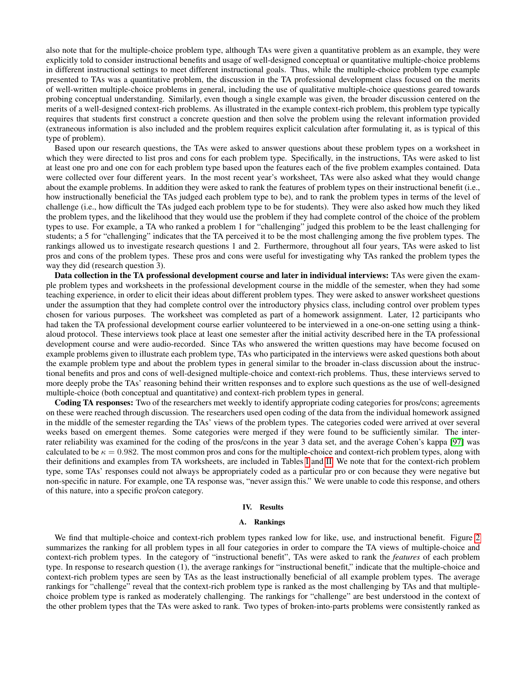also note that for the multiple-choice problem type, although TAs were given a quantitative problem as an example, they were explicitly told to consider instructional benefits and usage of well-designed conceptual or quantitative multiple-choice problems in different instructional settings to meet different instructional goals. Thus, while the multiple-choice problem type example presented to TAs was a quantitative problem, the discussion in the TA professional development class focused on the merits of well-written multiple-choice problems in general, including the use of qualitative multiple-choice questions geared towards probing conceptual understanding. Similarly, even though a single example was given, the broader discussion centered on the merits of a well-designed context-rich problems. As illustrated in the example context-rich problem, this problem type typically requires that students first construct a concrete question and then solve the problem using the relevant information provided (extraneous information is also included and the problem requires explicit calculation after formulating it, as is typical of this type of problem).

Based upon our research questions, the TAs were asked to answer questions about these problem types on a worksheet in which they were directed to list pros and cons for each problem type. Specifically, in the instructions, TAs were asked to list at least one pro and one con for each problem type based upon the features each of the five problem examples contained. Data were collected over four different years. In the most recent year's worksheet, TAs were also asked what they would change about the example problems. In addition they were asked to rank the features of problem types on their instructional benefit (i.e., how instructionally beneficial the TAs judged each problem type to be), and to rank the problem types in terms of the level of challenge (i.e., how difficult the TAs judged each problem type to be for students). They were also asked how much they liked the problem types, and the likelihood that they would use the problem if they had complete control of the choice of the problem types to use. For example, a TA who ranked a problem 1 for "challenging" judged this problem to be the least challenging for students; a 5 for "challenging" indicates that the TA perceived it to be the most challenging among the five problem types. The rankings allowed us to investigate research questions 1 and 2. Furthermore, throughout all four years, TAs were asked to list pros and cons of the problem types. These pros and cons were useful for investigating why TAs ranked the problem types the way they did (research question 3).

Data collection in the TA professional development course and later in individual interviews: TAs were given the example problem types and worksheets in the professional development course in the middle of the semester, when they had some teaching experience, in order to elicit their ideas about different problem types. They were asked to answer worksheet questions under the assumption that they had complete control over the introductory physics class, including control over problem types chosen for various purposes. The worksheet was completed as part of a homework assignment. Later, 12 participants who had taken the TA professional development course earlier volunteered to be interviewed in a one-on-one setting using a thinkaloud protocol. These interviews took place at least one semester after the initial activity described here in the TA professional development course and were audio-recorded. Since TAs who answered the written questions may have become focused on example problems given to illustrate each problem type, TAs who participated in the interviews were asked questions both about the example problem type and about the problem types in general similar to the broader in-class discussion about the instructional benefits and pros and cons of well-designed multiple-choice and context-rich problems. Thus, these interviews served to more deeply probe the TAs' reasoning behind their written responses and to explore such questions as the use of well-designed multiple-choice (both conceptual and quantitative) and context-rich problem types in general.

Coding TA responses: Two of the researchers met weekly to identify appropriate coding categories for pros/cons; agreements on these were reached through discussion. The researchers used open coding of the data from the individual homework assigned in the middle of the semester regarding the TAs' views of the problem types. The categories coded were arrived at over several weeks based on emergent themes. Some categories were merged if they were found to be sufficiently similar. The interrater reliability was examined for the coding of the pros/cons in the year 3 data set, and the average Cohen's kappa [\[97\]](#page-15-11) was calculated to be  $\kappa = 0.982$ . The most common pros and cons for the multiple-choice and context-rich problem types, along with their definitions and examples from TA worksheets, are included in Tables [I](#page-8-0) and [II.](#page-8-1) We note that for the context-rich problem type, some TAs' responses could not always be appropriately coded as a particular pro or con because they were negative but non-specific in nature. For example, one TA response was, "never assign this." We were unable to code this response, and others of this nature, into a specific pro/con category.

#### IV. Results

### A. Rankings

We find that multiple-choice and context-rich problem types ranked low for like, use, and instructional benefit. Figure [2](#page-6-0) summarizes the ranking for all problem types in all four categories in order to compare the TA views of multiple-choice and context-rich problem types. In the category of "instructional benefit", TAs were asked to rank the *features* of each problem type. In response to research question (1), the average rankings for "instructional benefit," indicate that the multiple-choice and context-rich problem types are seen by TAs as the least instructionally beneficial of all example problem types. The average rankings for "challenge" reveal that the context-rich problem type is ranked as the most challenging by TAs and that multiplechoice problem type is ranked as moderately challenging. The rankings for "challenge" are best understood in the context of the other problem types that the TAs were asked to rank. Two types of broken-into-parts problems were consistently ranked as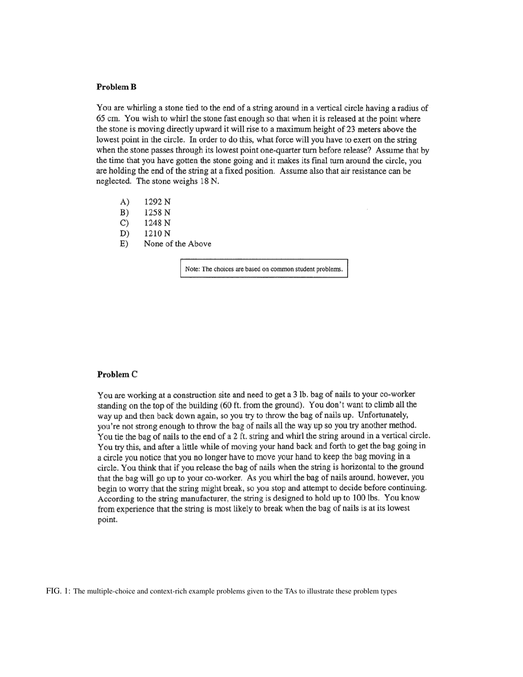## <span id="page-5-0"></span>**Problem B**

You are whirling a stone tied to the end of a string around in a vertical circle having a radius of 65 cm. You wish to whirl the stone fast enough so that when it is released at the point where the stone is moving directly upward it will rise to a maximum height of 23 meters above the lowest point in the circle. In order to do this, what force will you have to exert on the string when the stone passes through its lowest point one-quarter turn before release? Assume that by the time that you have gotten the stone going and it makes its final turn around the circle, you are holding the end of the string at a fixed position. Assume also that air resistance can be neglected. The stone weighs 18 N.

- $A)$ 1292 N
- $B)$ 1258 N
- $\mathcal{C}$ 1248 N
- D) 1210 N
- $E)$ None of the Above

Note: The choices are based on common student problems.

### **Problem C**

You are working at a construction site and need to get a 3 lb. bag of nails to your co-worker standing on the top of the building (60 ft. from the ground). You don't want to climb all the way up and then back down again, so you try to throw the bag of nails up. Unfortunately, you're not strong enough to throw the bag of nails all the way up so you try another method. You tie the bag of nails to the end of a 2 ft. string and whirl the string around in a vertical circle. You try this, and after a little while of moving your hand back and forth to get the bag going in a circle you notice that you no longer have to move your hand to keep the bag moving in a circle. You think that if you release the bag of nails when the string is horizontal to the ground that the bag will go up to your co-worker. As you whirl the bag of nails around, however, you begin to worry that the string might break, so you stop and attempt to decide before continuing. According to the string manufacturer, the string is designed to hold up to 100 lbs. You know from experience that the string is most likely to break when the bag of nails is at its lowest point.

FIG. 1: The multiple-choice and context-rich example problems given to the TAs to illustrate these problem types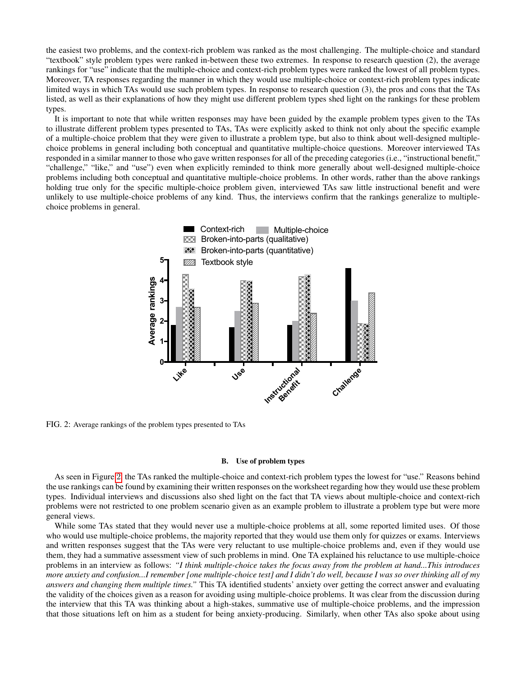the easiest two problems, and the context-rich problem was ranked as the most challenging. The multiple-choice and standard "textbook" style problem types were ranked in-between these two extremes. In response to research question (2), the average rankings for "use" indicate that the multiple-choice and context-rich problem types were ranked the lowest of all problem types. Moreover, TA responses regarding the manner in which they would use multiple-choice or context-rich problem types indicate limited ways in which TAs would use such problem types. In response to research question (3), the pros and cons that the TAs listed, as well as their explanations of how they might use different problem types shed light on the rankings for these problem types.

It is important to note that while written responses may have been guided by the example problem types given to the TAs to illustrate different problem types presented to TAs, TAs were explicitly asked to think not only about the specific example of a multiple-choice problem that they were given to illustrate a problem type, but also to think about well-designed multiplechoice problems in general including both conceptual and quantitative multiple-choice questions. Moreover interviewed TAs responded in a similar manner to those who gave written responses for all of the preceding categories (i.e., "instructional benefit," "challenge," "like," and "use") even when explicitly reminded to think more generally about well-designed multiple-choice problems including both conceptual and quantitative multiple-choice problems. In other words, rather than the above rankings holding true only for the specific multiple-choice problem given, interviewed TAs saw little instructional benefit and were unlikely to use multiple-choice problems of any kind. Thus, the interviews confirm that the rankings generalize to multiplechoice problems in general.

<span id="page-6-0"></span>

FIG. 2: Average rankings of the problem types presented to TAs

### B. Use of problem types

As seen in Figure [2](#page-6-0), the TAs ranked the multiple-choice and context-rich problem types the lowest for "use." Reasons behind the use rankings can be found by examining their written responses on the worksheet regarding how they would use these problem types. Individual interviews and discussions also shed light on the fact that TA views about multiple-choice and context-rich problems were not restricted to one problem scenario given as an example problem to illustrate a problem type but were more general views.

While some TAs stated that they would never use a multiple-choice problems at all, some reported limited uses. Of those who would use multiple-choice problems, the majority reported that they would use them only for quizzes or exams. Interviews and written responses suggest that the TAs were very reluctant to use multiple-choice problems and, even if they would use them, they had a summative assessment view of such problems in mind. One TA explained his reluctance to use multiple-choice problems in an interview as follows: *"I think multiple-choice takes the focus away from the problem at hand...This introduces more anxiety and confusion...I remember [one multiple-choice test] and I didn't do well, because I was so over thinking all of my answers and changing them multiple times."* This TA identified students' anxiety over getting the correct answer and evaluating the validity of the choices given as a reason for avoiding using multiple-choice problems. It was clear from the discussion during the interview that this TA was thinking about a high-stakes, summative use of multiple-choice problems, and the impression that those situations left on him as a student for being anxiety-producing. Similarly, when other TAs also spoke about using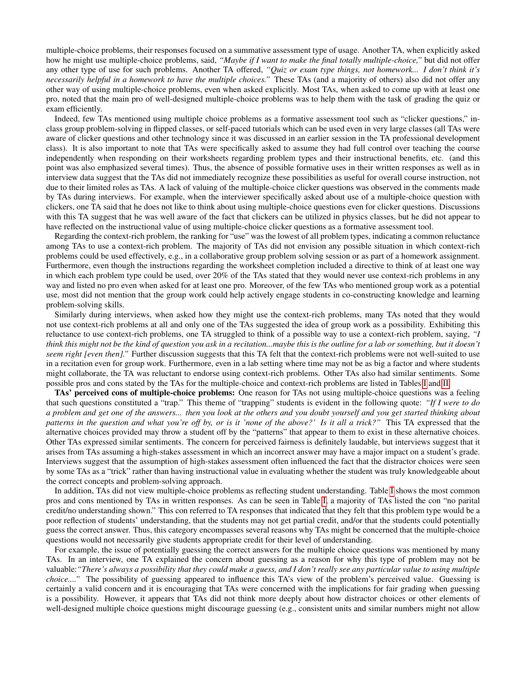multiple-choice problems, their responses focused on a summative assessment type of usage. Another TA, when explicitly asked how he might use multiple-choice problems, said, *"Maybe if I want to make the final totally multiple-choice,"* but did not offer any other type of use for such problems. Another TA offered, *"Quiz or exam type things, not homework... I don't think it's necessarily helpful in a homework to have the multiple choices."* These TAs (and a majority of others) also did not offer any other way of using multiple-choice problems, even when asked explicitly. Most TAs, when asked to come up with at least one pro, noted that the main pro of well-designed multiple-choice problems was to help them with the task of grading the quiz or exam efficiently.

Indeed, few TAs mentioned using multiple choice problems as a formative assessment tool such as "clicker questions," inclass group problem-solving in flipped classes, or self-paced tutorials which can be used even in very large classes (all TAs were aware of clicker questions and other technology since it was discussed in an earlier session in the TA professional development class). It is also important to note that TAs were specifically asked to assume they had full control over teaching the course independently when responding on their worksheets regarding problem types and their instructional benefits, etc. (and this point was also emphasized several times). Thus, the absence of possible formative uses in their written responses as well as in interview data suggest that the TAs did not immediately recognize these possibilities as useful for overall course instruction, not due to their limited roles as TAs. A lack of valuing of the multiple-choice clicker questions was observed in the comments made by TAs during interviews. For example, when the interviewer specifically asked about use of a multiple-choice question with clickers, one TA said that he does not like to think about using multiple-choice questions even for clicker questions. Discussions with this TA suggest that he was well aware of the fact that clickers can be utilized in physics classes, but he did not appear to have reflected on the instructional value of using multiple-choice clicker questions as a formative assessment tool.

Regarding the context-rich problem, the ranking for "use" was the lowest of all problem types, indicating a common reluctance among TAs to use a context-rich problem. The majority of TAs did not envision any possible situation in which context-rich problems could be used effectively, e.g., in a collaborative group problem solving session or as part of a homework assignment. Furthermore, even though the instructions regarding the worksheet completion included a directive to think of at least one way in which each problem type could be used, over 20% of the TAs stated that they would never use context-rich problems in any way and listed no pro even when asked for at least one pro. Moreover, of the few TAs who mentioned group work as a potential use, most did not mention that the group work could help actively engage students in co-constructing knowledge and learning problem-solving skills.

Similarly during interviews, when asked how they might use the context-rich problems, many TAs noted that they would not use context-rich problems at all and only one of the TAs suggested the idea of group work as a possibility. Exhibiting this reluctance to use context-rich problems, one TA struggled to think of a possible way to use a context-rich problem, saying, *"I think this might not be the kind of question you ask in a recitation...maybe this is the outline for a lab or something, but it doesn't seem right [even then].*" Further discussion suggests that this TA felt that the context-rich problems were not well-suited to use in a recitation even for group work. Furthermore, even in a lab setting where time may not be as big a factor and where students might collaborate, the TA was reluctant to endorse using context-rich problems. Other TAs also had similar sentiments. Some possible pros and cons stated by the TAs for the multiple-choice and context-rich problems are listed in Tables [I](#page-8-0) and [II.](#page-8-1)

TAs' perceived cons of multiple-choice problems: One reason for TAs not using multiple-choice questions was a feeling that such questions constituted a "trap." This theme of "trapping" students is evident in the following quote: *"If I were to do a problem and get one of the answers... then you look at the others and you doubt yourself and you get started thinking about patterns in the question and what you're off by, or is it 'none of the above?' Is it all a trick?"* This TA expressed that the alternative choices provided may throw a student off by the "patterns" that appear to them to exist in these alternative choices. Other TAs expressed similar sentiments. The concern for perceived fairness is definitely laudable, but interviews suggest that it arises from TAs assuming a high-stakes assessment in which an incorrect answer may have a major impact on a student's grade. Interviews suggest that the assumption of high-stakes assessment often influenced the fact that the distractor choices were seen by some TAs as a "trick" rather than having instructional value in evaluating whether the student was truly knowledgeable about the correct concepts and problem-solving approach.

In addition, TAs did not view multiple-choice problems as reflecting student understanding. Table [I](#page-8-0) shows the most common pros and cons mentioned by TAs in written responses. As can be seen in Table [I,](#page-8-0) a majority of TAs listed the con "no parital credit/no understanding shown." This con referred to TA responses that indicated that they felt that this problem type would be a poor reflection of students' understanding, that the students may not get partial credit, and/or that the students could potentially guess the correct answer. Thus, this category encompasses several reasons why TAs might be concerned that the multiple-choice questions would not necessarily give students appropriate credit for their level of understanding.

For example, the issue of potentially guessing the correct answers for the multiple choice questions was mentioned by many TAs. In an interview, one TA explained the concern about guessing as a reason for why this type of problem may not be valuable:*"There's always a possibility that they could make a guess, and I don't really see any particular value to using multiple choice...."* The possibility of guessing appeared to influence this TA's view of the problem's perceived value. Guessing is certainly a valid concern and it is encouraging that TAs were concerned with the implications for fair grading when guessing is a possibility. However, it appears that TAs did not think more deeply about how distractor choices or other elements of well-designed multiple choice questions might discourage guessing (e.g., consistent units and similar numbers might not allow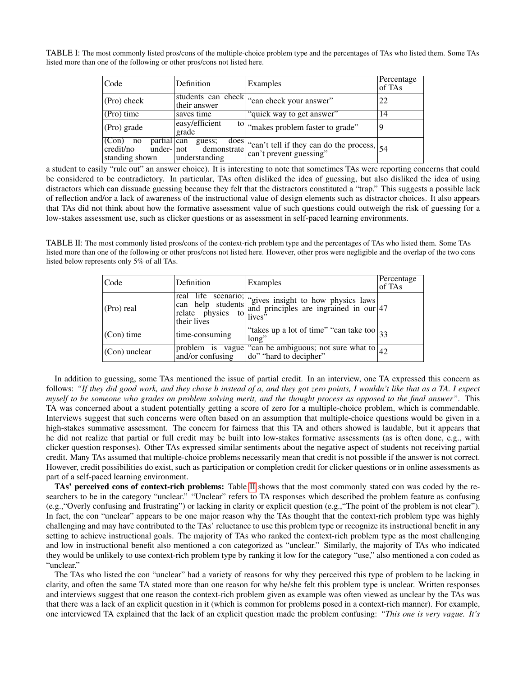<span id="page-8-0"></span>TABLE I: The most commonly listed pros/cons of the multiple-choice problem type and the percentages of TAs who listed them. Some TAs listed more than one of the following or other pros/cons not listed here.

| Code                                                      | Definition                                            | Examples                                                                                                        | Percentage<br>of TAs |
|-----------------------------------------------------------|-------------------------------------------------------|-----------------------------------------------------------------------------------------------------------------|----------------------|
| (Pro) check                                               | their answer                                          | students can check can check your answer"                                                                       | 22                   |
| $(Pro)$ time                                              | saves time                                            | "quick way to get answer"                                                                                       | 14                   |
| (Pro) grade                                               | easy/efficient<br>grade                               | <sup>to</sup>   "makes problem faster to grade"                                                                 |                      |
| partial can<br>(Con)<br>no<br>credit/no<br>standing shown | guess;<br>under-   not demonstrate  <br>understanding | $\left.\frac{\text{does}}{\text{astrate}}\right _{\text{can't tell if they can do the process,}}^{\text{does}}$ |                      |

a student to easily "rule out" an answer choice). It is interesting to note that sometimes TAs were reporting concerns that could be considered to be contradictory. In particular, TAs often disliked the idea of guessing, but also disliked the idea of using distractors which can dissuade guessing because they felt that the distractors constituted a "trap." This suggests a possible lack of reflection and/or a lack of awareness of the instructional value of design elements such as distractor choices. It also appears that TAs did not think about how the formative assessment value of such questions could outweigh the risk of guessing for a low-stakes assessment use, such as clicker questions or as assessment in self-paced learning environments.

<span id="page-8-1"></span>TABLE II: The most commonly listed pros/cons of the context-rich problem type and the percentages of TAs who listed them. Some TAs listed more than one of the following or other pros/cons not listed here. However, other pros were negligible and the overlap of the two cons listed below represents only 5% of all TAs.

| Code              | Definition     | Examples                                                                                                                                       | Percentage<br>of TAs |
|-------------------|----------------|------------------------------------------------------------------------------------------------------------------------------------------------|----------------------|
| $ $ (Pro) real    | their lives    | real life scenario; "gives insight to how physics laws<br>can help students and principles are ingrained in our 47<br>relate physics to lives" |                      |
| $ $ (Con) time    | time-consuming | "takes up a lot of time" "can take too $ _{33}$<br>long"                                                                                       |                      |
| $ $ (Con) unclear |                | problem is vague "can be ambiguous; not sure what to $\boxed{42}$<br>and/or confusing $\boxed{do''$ "hard to decipher"                         |                      |

In addition to guessing, some TAs mentioned the issue of partial credit. In an interview, one TA expressed this concern as follows: *"If they did good work, and they chose b instead of a, and they got zero points, I wouldn't like that as a TA. I expect myself to be someone who grades on problem solving merit, and the thought process as opposed to the final answer"*. This TA was concerned about a student potentially getting a score of zero for a multiple-choice problem, which is commendable. Interviews suggest that such concerns were often based on an assumption that multiple-choice questions would be given in a high-stakes summative assessment. The concern for fairness that this TA and others showed is laudable, but it appears that he did not realize that partial or full credit may be built into low-stakes formative assessments (as is often done, e.g., with clicker question responses). Other TAs expressed similar sentiments about the negative aspect of students not receiving partial credit. Many TAs assumed that multiple-choice problems necessarily mean that credit is not possible if the answer is not correct. However, credit possibilities do exist, such as participation or completion credit for clicker questions or in online assessments as part of a self-paced learning environment.

TAs' perceived cons of context-rich problems: Table [II](#page-8-1) shows that the most commonly stated con was coded by the researchers to be in the category "unclear." "Unclear" refers to TA responses which described the problem feature as confusing (e.g.,"Overly confusing and frustrating") or lacking in clarity or explicit question (e.g.,"The point of the problem is not clear"). In fact, the con "unclear" appears to be one major reason why the TAs thought that the context-rich problem type was highly challenging and may have contributed to the TAs' reluctance to use this problem type or recognize its instructional benefit in any setting to achieve instructional goals. The majority of TAs who ranked the context-rich problem type as the most challenging and low in instructional benefit also mentioned a con categorized as "unclear." Similarly, the majority of TAs who indicated they would be unlikely to use context-rich problem type by ranking it low for the category "use," also mentioned a con coded as "unclear."

The TAs who listed the con "unclear" had a variety of reasons for why they perceived this type of problem to be lacking in clarity, and often the same TA stated more than one reason for why he/she felt this problem type is unclear. Written responses and interviews suggest that one reason the context-rich problem given as example was often viewed as unclear by the TAs was that there was a lack of an explicit question in it (which is common for problems posed in a context-rich manner). For example, one interviewed TA explained that the lack of an explicit question made the problem confusing: *"This one is very vague. It's*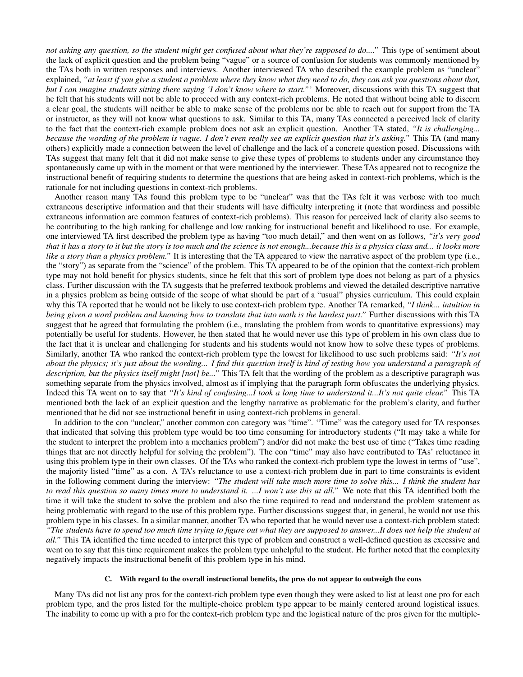*not asking any question, so the student might get confused about what they're supposed to do...."* This type of sentiment about the lack of explicit question and the problem being "vague" or a source of confusion for students was commonly mentioned by the TAs both in written responses and interviews. Another interviewed TA who described the example problem as "unclear" explained, *"at least if you give a student a problem where they know what they need to do, they can ask you questions about that, but I can imagine students sitting there saying 'I don't know where to start."'* Moreover, discussions with this TA suggest that he felt that his students will not be able to proceed with any context-rich problems. He noted that without being able to discern a clear goal, the students will neither be able to make sense of the problems nor be able to reach out for support from the TA or instructor, as they will not know what questions to ask. Similar to this TA, many TAs connected a perceived lack of clarity to the fact that the context-rich example problem does not ask an explicit question. Another TA stated, *"It is challenging... because the wording of the problem is vague. I don't even really see an explicit question that it's asking."* This TA (and many others) explicitly made a connection between the level of challenge and the lack of a concrete question posed. Discussions with TAs suggest that many felt that it did not make sense to give these types of problems to students under any circumstance they spontaneously came up with in the moment or that were mentioned by the interviewer. These TAs appeared not to recognize the instructional benefit of requiring students to determine the questions that are being asked in context-rich problems, which is the rationale for not including questions in context-rich problems.

Another reason many TAs found this problem type to be "unclear" was that the TAs felt it was verbose with too much extraneous descriptive information and that their students will have difficulty interpreting it (note that wordiness and possible extraneous information are common features of context-rich problems). This reason for perceived lack of clarity also seems to be contributing to the high ranking for challenge and low ranking for instructional benefit and likelihood to use. For example, one interviewed TA first described the problem type as having "too much detail," and then went on as follows, *"it's very good that it has a story to it but the story is too much and the science is not enough...because this is a physics class and... it looks more like a story than a physics problem.*" It is interesting that the TA appeared to view the narrative aspect of the problem type (i.e., the "story") as separate from the "science" of the problem. This TA appeared to be of the opinion that the context-rich problem type may not hold benefit for physics students, since he felt that this sort of problem type does not belong as part of a physics class. Further discussion with the TA suggests that he preferred textbook problems and viewed the detailed descriptive narrative in a physics problem as being outside of the scope of what should be part of a "usual" physics curriculum. This could explain why this TA reported that he would not be likely to use context-rich problem type. Another TA remarked, *"I think... intuition in being given a word problem and knowing how to translate that into math is the hardest part."* Further discussions with this TA suggest that he agreed that formulating the problem (i.e., translating the problem from words to quantitative expressions) may potentially be useful for students. However, he then stated that he would never use this type of problem in his own class due to the fact that it is unclear and challenging for students and his students would not know how to solve these types of problems. Similarly, another TA who ranked the context-rich problem type the lowest for likelihood to use such problems said: *"It's not about the physics; it's just about the wording... I find this question itself is kind of testing how you understand a paragraph of description, but the physics itself might [not] be..."* This TA felt that the wording of the problem as a descriptive paragraph was something separate from the physics involved, almost as if implying that the paragraph form obfuscates the underlying physics. Indeed this TA went on to say that *"It's kind of confusing...I took a long time to understand it...It's not quite clear."* This TA mentioned both the lack of an explicit question and the lengthy narrative as problematic for the problem's clarity, and further mentioned that he did not see instructional benefit in using context-rich problems in general.

In addition to the con "unclear," another common con category was "time". "Time" was the category used for TA responses that indicated that solving this problem type would be too time consuming for introductory students ("It may take a while for the student to interpret the problem into a mechanics problem") and/or did not make the best use of time ("Takes time reading things that are not directly helpful for solving the problem"). The con "time" may also have contributed to TAs' reluctance in using this problem type in their own classes. Of the TAs who ranked the context-rich problem type the lowest in terms of "use", the majority listed "time" as a con. A TA's reluctance to use a context-rich problem due in part to time constraints is evident in the following comment during the interview: *"The student will take much more time to solve this... I think the student has to read this question so many times more to understand it. ...I won't use this at all."* We note that this TA identified both the time it will take the student to solve the problem and also the time required to read and understand the problem statement as being problematic with regard to the use of this problem type. Further discussions suggest that, in general, he would not use this problem type in his classes. In a similar manner, another TA who reported that he would never use a context-rich problem stated: *"The students have to spend too much time trying to figure out what they are supposed to answer...It does not help the student at all."* This TA identified the time needed to interpret this type of problem and construct a well-defined question as excessive and went on to say that this time requirement makes the problem type unhelpful to the student. He further noted that the complexity negatively impacts the instructional benefit of this problem type in his mind.

### C. With regard to the overall instructional benefits, the pros do not appear to outweigh the cons

Many TAs did not list any pros for the context-rich problem type even though they were asked to list at least one pro for each problem type, and the pros listed for the multiple-choice problem type appear to be mainly centered around logistical issues. The inability to come up with a pro for the context-rich problem type and the logistical nature of the pros given for the multiple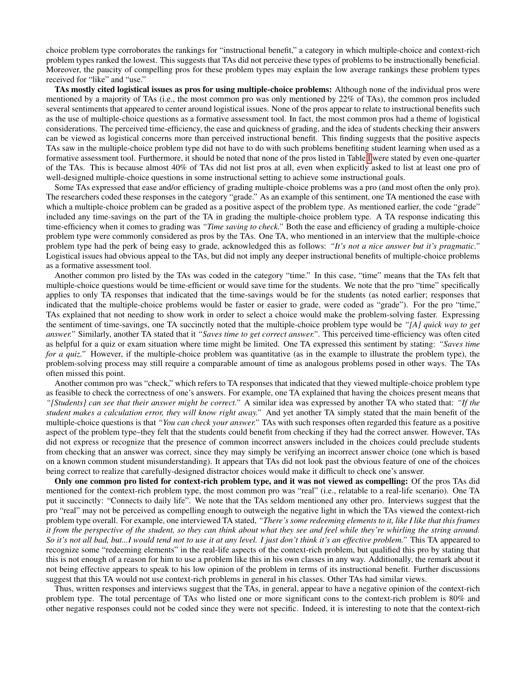choice problem type corroborates the rankings for "instructional benefit," a category in which multiple-choice and context-rich problem types ranked the lowest. This suggests that TAs did not perceive these types of problems to be instructionally beneficial. Moreover, the paucity of compelling pros for these problem types may explain the low average rankings these problem types received for "like" and "use."

TAs mostly cited logistical issues as pros for using multiple-choice problems: Although none of the individual pros were mentioned by a majority of TAs (i.e., the most common pro was only mentioned by 22% of TAs), the common pros included several sentiments that appeared to center around logistical issues. None of the pros appear to relate to instructional benefits such as the use of multiple-choice questions as a formative assessment tool. In fact, the most common pros had a theme of logistical considerations. The perceived time-efficiency, the ease and quickness of grading, and the idea of students checking their answers can be viewed as logistical concerns more than perceived instructional benefit. This finding suggests that the positive aspects TAs saw in the multiple-choice problem type did not have to do with such problems benefiting student learning when used as a formative assessment tool. Furthermore, it should be noted that none of the pros listed in Table [I](#page-8-0) were stated by even one-quarter of the TAs. This is because almost 40% of TAs did not list pros at all, even when explicitly asked to list at least one pro of well-designed multiple-choice questions in some instructional setting to achieve some instructional goals.

Some TAs expressed that ease and/or efficiency of grading multiple-choice problems was a pro (and most often the only pro). The researchers coded these responses in the category "grade." As an example of this sentiment, one TA mentioned the ease with which a multiple-choice problem can be graded as a positive aspect of the problem type. As mentioned earlier, the code "grade" included any time-savings on the part of the TA in grading the multiple-choice problem type. A TA response indicating this time-efficiency when it comes to grading was *"Time saving to check."* Both the ease and efficiency of grading a multiple-choice problem type were commonly considered as pros by the TAs. One TA, who mentioned in an interview that the multiple-choice problem type had the perk of being easy to grade, acknowledged this as follows: *"It's not a nice answer but it's pragmatic."* Logistical issues had obvious appeal to the TAs, but did not imply any deeper instructional benefits of multiple-choice problems as a formative assessment tool.

Another common pro listed by the TAs was coded in the category "time." In this case, "time" means that the TAs felt that multiple-choice questions would be time-efficient or would save time for the students. We note that the pro "time" specifically applies to only TA responses that indicated that the time-savings would be for the students (as noted earlier; responses that indicated that the multiple-choice problems would be faster or easier to grade, were coded as "grade"). For the pro "time," TAs explained that not needing to show work in order to select a choice would make the problem-solving faster. Expressing the sentiment of time-savings, one TA succinctly noted that the multiple-choice problem type would be *"[A] quick way to get answer."* Similarly, another TA stated that it *"Saves time to get correct answer."*. This perceived time-efficiency was often cited as helpful for a quiz or exam situation where time might be limited. One TA expressed this sentiment by stating: *"Saves time for a quiz.*" However, if the multiple-choice problem was quantitative (as in the example to illustrate the problem type), the problem-solving process may still require a comparable amount of time as analogous problems posed in other ways. The TAs often missed this point.

Another common pro was "check," which refers to TA responses that indicated that they viewed multiple-choice problem type as feasible to check the correctness of one's answers. For example, one TA explained that having the choices present means that *"[Students] can see that their answer might be correct."* A similar idea was expressed by another TA who stated that: *"If the student makes a calculation error, they will know right away."* And yet another TA simply stated that the main benefit of the multiple-choice questions is that *"You can check your answer."* TAs with such responses often regarded this feature as a positive aspect of the problem type–they felt that the students could benefit from checking if they had the correct answer. However, TAs did not express or recognize that the presence of common incorrect answers included in the choices could preclude students from checking that an answer was correct, since they may simply be verifying an incorrect answer choice (one which is based on a known common student misunderstanding). It appears that TAs did not look past the obvious feature of one of the choices being correct to realize that carefully-designed distractor choices would make it difficult to check one's answer.

Only one common pro listed for context-rich problem type, and it was not viewed as compelling: Of the pros TAs did mentioned for the context-rich problem type, the most common pro was "real" (i.e., relatable to a real-life scenario). One TA put it succinctly: "Connects to daily life". We note that the TAs seldom mentioned any other pro. Interviews suggest that the pro "real" may not be perceived as compelling enough to outweigh the negative light in which the TAs viewed the context-rich problem type overall. For example, one interviewed TA stated, *"There's some redeeming elements to it, like I like that this frames it from the perspective of the student, so they can think about what they see and feel while they're whirling the string around. So it's not all bad, but...I would tend not to use it at any level. I just don't think it's an effective problem."* This TA appeared to recognize some "redeeming elements" in the real-life aspects of the context-rich problem, but qualified this pro by stating that this is not enough of a reason for him to use a problem like this in his own classes in any way. Additionally, the remark about it not being effective appears to speak to his low opinion of the problem in terms of its instructional benefit. Further discussions suggest that this TA would not use context-rich problems in general in his classes. Other TAs had similar views.

Thus, written responses and interviews suggest that the TAs, in general, appear to have a negative opinion of the context-rich problem type. The total percentage of TAs who listed one or more significant cons to the context-rich problem is 80% and other negative responses could not be coded since they were not specific. Indeed, it is interesting to note that the context-rich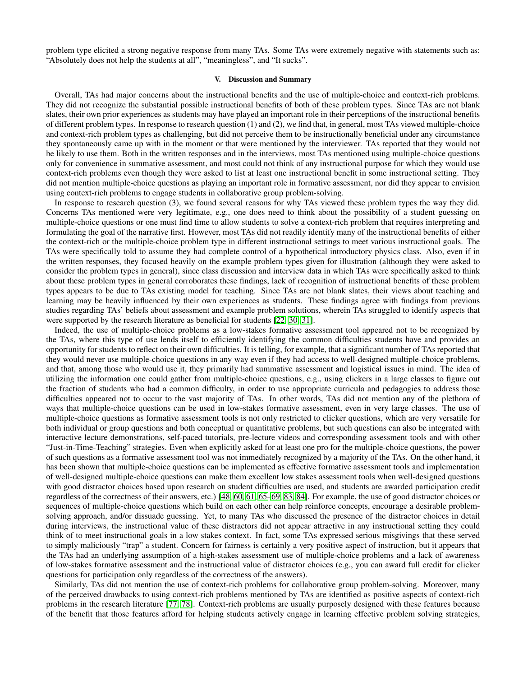problem type elicited a strong negative response from many TAs. Some TAs were extremely negative with statements such as: "Absolutely does not help the students at all", "meaningless", and "It sucks".

### V. Discussion and Summary

Overall, TAs had major concerns about the instructional benefits and the use of multiple-choice and context-rich problems. They did not recognize the substantial possible instructional benefits of both of these problem types. Since TAs are not blank slates, their own prior experiences as students may have played an important role in their perceptions of the instructional benefits of different problem types. In response to research question (1) and (2), we find that, in general, most TAs viewed multiple-choice and context-rich problem types as challenging, but did not perceive them to be instructionally beneficial under any circumstance they spontaneously came up with in the moment or that were mentioned by the interviewer. TAs reported that they would not be likely to use them. Both in the written responses and in the interviews, most TAs mentioned using multiple-choice questions only for convenience in summative assessment, and most could not think of any instructional purpose for which they would use context-rich problems even though they were asked to list at least one instructional benefit in some instructional setting. They did not mention multiple-choice questions as playing an important role in formative assessment, nor did they appear to envision using context-rich problems to engage students in collaborative group problem-solving.

In response to research question (3), we found several reasons for why TAs viewed these problem types the way they did. Concerns TAs mentioned were very legitimate, e.g., one does need to think about the possibility of a student guessing on multiple-choice questions or one must find time to allow students to solve a context-rich problem that requires interpreting and formulating the goal of the narrative first. However, most TAs did not readily identify many of the instructional benefits of either the context-rich or the multiple-choice problem type in different instructional settings to meet various instructional goals. The TAs were specifically told to assume they had complete control of a hypothetical introductory physics class. Also, even if in the written responses, they focused heavily on the example problem types given for illustration (although they were asked to consider the problem types in general), since class discussion and interview data in which TAs were specifically asked to think about these problem types in general corroborates these findings, lack of recognition of instructional benefits of these problem types appears to be due to TAs existing model for teaching. Since TAs are not blank slates, their views about teaching and learning may be heavily influenced by their own experiences as students. These findings agree with findings from previous studies regarding TAs' beliefs about assessment and example problem solutions, wherein TAs struggled to identify aspects that were supported by the research literature as beneficial for students [\[22,](#page-13-8) [30,](#page-13-16) [31\]](#page-13-18).

Indeed, the use of multiple-choice problems as a low-stakes formative assessment tool appeared not to be recognized by the TAs, where this type of use lends itself to efficiently identifying the common difficulties students have and provides an opportunity for students to reflect on their own difficulties. It is telling, for example, that a significant number of TAs reported that they would never use multiple-choice questions in any way even if they had access to well-designed multiple-choice problems, and that, among those who would use it, they primarily had summative assessment and logistical issues in mind. The idea of utilizing the information one could gather from multiple-choice questions, e.g., using clickers in a large classes to figure out the fraction of students who had a common difficulty, in order to use appropriate curricula and pedagogies to address those difficulties appeared not to occur to the vast majority of TAs. In other words, TAs did not mention any of the plethora of ways that multiple-choice questions can be used in low-stakes formative assessment, even in very large classes. The use of multiple-choice questions as formative assessment tools is not only restricted to clicker questions, which are very versatile for both individual or group questions and both conceptual or quantitative problems, but such questions can also be integrated with interactive lecture demonstrations, self-paced tutorials, pre-lecture videos and corresponding assessment tools and with other "Just-in-Time-Teaching" strategies. Even when explicitly asked for at least one pro for the multiple-choice questions, the power of such questions as a formative assessment tool was not immediately recognized by a majority of the TAs. On the other hand, it has been shown that multiple-choice questions can be implemented as effective formative assessment tools and implementation of well-designed multiple-choice questions can make them excellent low stakes assessment tools when well-designed questions with good distractor choices based upon research on student difficulties are used, and students are awarded participation credit regardless of the correctness of their answers, etc.) [\[48,](#page-14-2) [60,](#page-14-22) [61,](#page-14-16) [65–](#page-14-20)[69,](#page-14-23) [83,](#page-15-12) [84\]](#page-15-13). For example, the use of good distractor choices or sequences of multiple-choice questions which build on each other can help reinforce concepts, encourage a desirable problemsolving approach, and/or dissuade guessing. Yet, to many TAs who discussed the presence of the distractor choices in detail during interviews, the instructional value of these distractors did not appear attractive in any instructional setting they could think of to meet instructional goals in a low stakes context. In fact, some TAs expressed serious misgivings that these served to simply maliciously "trap" a student. Concern for fairness is certainly a very positive aspect of instruction, but it appears that the TAs had an underlying assumption of a high-stakes assessment use of multiple-choice problems and a lack of awareness of low-stakes formative assessment and the instructional value of distractor choices (e.g., you can award full credit for clicker questions for participation only regardless of the correctness of the answers).

Similarly, TAs did not mention the use of context-rich problems for collaborative group problem-solving. Moreover, many of the perceived drawbacks to using context-rich problems mentioned by TAs are identified as positive aspects of context-rich problems in the research literature [\[77,](#page-15-2) [78\]](#page-15-6). Context-rich problems are usually purposely designed with these features because of the benefit that those features afford for helping students actively engage in learning effective problem solving strategies,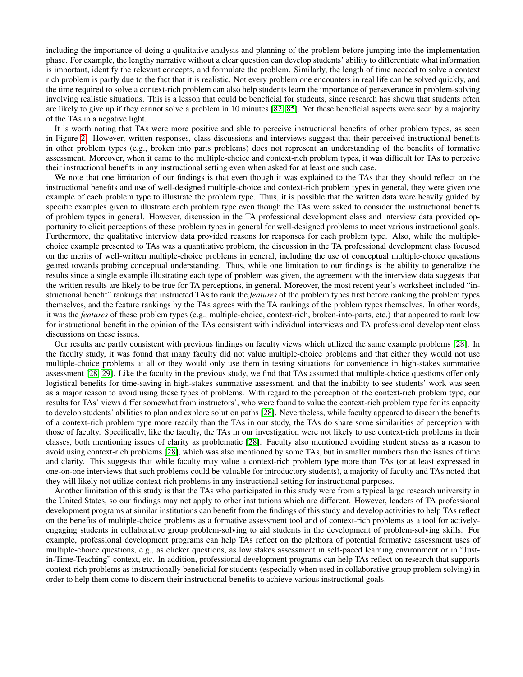including the importance of doing a qualitative analysis and planning of the problem before jumping into the implementation phase. For example, the lengthy narrative without a clear question can develop students' ability to differentiate what information is important, identify the relevant concepts, and formulate the problem. Similarly, the length of time needed to solve a context rich problem is partly due to the fact that it is realistic. Not every problem one encounters in real life can be solved quickly, and the time required to solve a context-rich problem can also help students learn the importance of perseverance in problem-solving involving realistic situations. This is a lesson that could be beneficial for students, since research has shown that students often are likely to give up if they cannot solve a problem in 10 minutes [\[82,](#page-15-10) [85\]](#page-15-14). Yet these beneficial aspects were seen by a majority of the TAs in a negative light.

It is worth noting that TAs were more positive and able to perceive instructional benefits of other problem types, as seen in Figure [2.](#page-6-0) However, written responses, class discussions and interviews suggest that their perceived instructional benefits in other problem types (e.g., broken into parts problems) does not represent an understanding of the benefits of formative assessment. Moreover, when it came to the multiple-choice and context-rich problem types, it was difficult for TAs to perceive their instructional benefits in any instructional setting even when asked for at least one such case.

We note that one limitation of our findings is that even though it was explained to the TAs that they should reflect on the instructional benefits and use of well-designed multiple-choice and context-rich problem types in general, they were given one example of each problem type to illustrate the problem type. Thus, it is possible that the written data were heavily guided by specific examples given to illustrate each problem type even though the TAs were asked to consider the instructional benefits of problem types in general. However, discussion in the TA professional development class and interview data provided opportunity to elicit perceptions of these problem types in general for well-designed problems to meet various instructional goals. Furthermore, the qualitative interview data provided reasons for responses for each problem type. Also, while the multiplechoice example presented to TAs was a quantitative problem, the discussion in the TA professional development class focused on the merits of well-written multiple-choice problems in general, including the use of conceptual multiple-choice questions geared towards probing conceptual understanding. Thus, while one limitation to our findings is the ability to generalize the results since a single example illustrating each type of problem was given, the agreement with the interview data suggests that the written results are likely to be true for TA perceptions, in general. Moreover, the most recent year's worksheet included "instructional benefit" rankings that instructed TAs to rank the *features* of the problem types first before ranking the problem types themselves, and the feature rankings by the TAs agrees with the TA rankings of the problem types themselves. In other words, it was the *features* of these problem types (e.g., multiple-choice, context-rich, broken-into-parts, etc.) that appeared to rank low for instructional benefit in the opinion of the TAs consistent with individual interviews and TA professional development class discussions on these issues.

Our results are partly consistent with previous findings on faculty views which utilized the same example problems [\[28\]](#page-13-14). In the faculty study, it was found that many faculty did not value multiple-choice problems and that either they would not use multiple-choice problems at all or they would only use them in testing situations for convenience in high-stakes summative assessment [\[28,](#page-13-14) [29\]](#page-13-15). Like the faculty in the previous study, we find that TAs assumed that multiple-choice questions offer only logistical benefits for time-saving in high-stakes summative assessment, and that the inability to see students' work was seen as a major reason to avoid using these types of problems. With regard to the perception of the context-rich problem type, our results for TAs' views differ somewhat from instructors', who were found to value the context-rich problem type for its capacity to develop students' abilities to plan and explore solution paths [\[28\]](#page-13-14). Nevertheless, while faculty appeared to discern the benefits of a context-rich problem type more readily than the TAs in our study, the TAs do share some similarities of perception with those of faculty. Specifically, like the faculty, the TAs in our investigation were not likely to use context-rich problems in their classes, both mentioning issues of clarity as problematic [\[28\]](#page-13-14). Faculty also mentioned avoiding student stress as a reason to avoid using context-rich problems [\[28\]](#page-13-14), which was also mentioned by some TAs, but in smaller numbers than the issues of time and clarity. This suggests that while faculty may value a context-rich problem type more than TAs (or at least expressed in one-on-one interviews that such problems could be valuable for introductory students), a majority of faculty and TAs noted that they will likely not utilize context-rich problems in any instructional setting for instructional purposes.

Another limitation of this study is that the TAs who participated in this study were from a typical large research university in the United States, so our findings may not apply to other institutions which are different. However, leaders of TA professional development programs at similar institutions can benefit from the findings of this study and develop activities to help TAs reflect on the benefits of multiple-choice problems as a formative assessment tool and of context-rich problems as a tool for activelyengaging students in collaborative group problem-solving to aid students in the development of problem-solving skills. For example, professional development programs can help TAs reflect on the plethora of potential formative assessment uses of multiple-choice questions, e.g., as clicker questions, as low stakes assessment in self-paced learning environment or in "Justin-Time-Teaching" context, etc. In addition, professional development programs can help TAs reflect on research that supports context-rich problems as instructionally beneficial for students (especially when used in collaborative group problem solving) in order to help them come to discern their instructional benefits to achieve various instructional goals.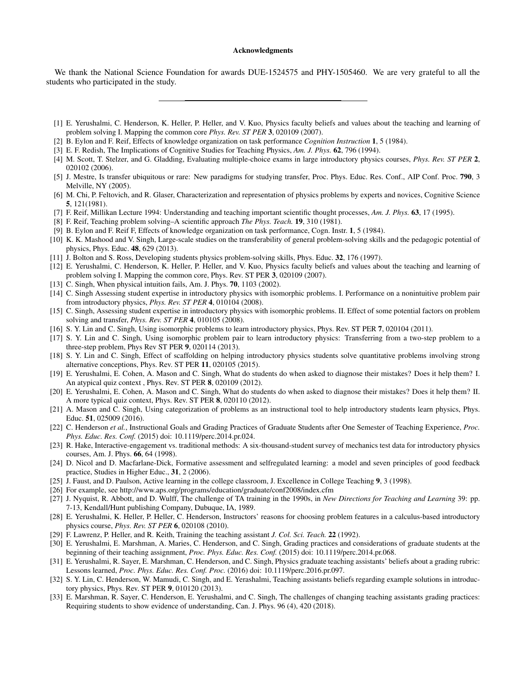#### Acknowledgments

We thank the National Science Foundation for awards DUE-1524575 and PHY-1505460. We are very grateful to all the students who participated in the study.

- <span id="page-13-0"></span>[1] E. Yerushalmi, C. Henderson, K. Heller, P. Heller, and V. Kuo, Physics faculty beliefs and values about the teaching and learning of problem solving I. Mapping the common core *Phys. Rev. ST PER* 3, 020109 (2007).
- [2] B. Eylon and F. Reif, Effects of knowledge organization on task performance *Cognition Instruction* 1, 5 (1984).
- [3] E. F. Redish, The Implications of Cognitive Studies for Teaching Physics, *Am. J. Phys.* 62, 796 (1994).
- [4] M. Scott, T. Stelzer, and G. Gladding, Evaluating multiple-choice exams in large introductory physics courses, *Phys. Rev. ST PER* 2, 020102 (2006).
- <span id="page-13-1"></span>[5] J. Mestre, Is transfer ubiquitous or rare: New paradigms for studying transfer, Proc. Phys. Educ. Res. Conf., AIP Conf. Proc. 790, 3 Melville, NY (2005).
- <span id="page-13-2"></span>[6] M. Chi, P. Feltovich, and R. Glaser, Characterization and representation of physics problems by experts and novices, Cognitive Science 5, 121(1981).
- <span id="page-13-7"></span>[7] F. Reif, Millikan Lecture 1994: Understanding and teaching important scientific thought processes, *Am. J. Phys.* 63, 17 (1995).
- [8] F. Reif, Teaching problem solving–A scientific approach *The Phys. Teach.* 19, 310 (1981).
- <span id="page-13-4"></span>[9] B. Eylon and F. Reif F, Effects of knowledge organization on task performance, Cogn. Instr. 1, 5 (1984).
- [10] K. K. Mashood and V. Singh, Large-scale studies on the transferability of general problem-solving skills and the pedagogic potential of physics, Phys. Educ. 48, 629 (2013).
- [11] J. Bolton and S. Ross, Developing students physics problem-solving skills, Phys. Educ. 32, 176 (1997).
- <span id="page-13-3"></span>[12] E. Yerushalmi, C. Henderson, K. Heller, P. Heller, and V. Kuo, Physics faculty beliefs and values about the teaching and learning of problem solving I. Mapping the common core, Phys. Rev. ST PER 3, 020109 (2007).
- <span id="page-13-5"></span>[13] C. Singh, When physical intuition fails, Am. J. Phys. **70**, 1103 (2002).
- [14] C. Singh Assessing student expertise in introductory physics with isomorphic problems. I. Performance on a nonintuitive problem pair from introductory physics, *Phys. Rev. ST PER* 4, 010104 (2008).
- [15] C. Singh, Assessing student expertise in introductory physics with isomorphic problems. II. Effect of some potential factors on problem solving and transfer, *Phys. Rev. ST PER* 4, 010105 (2008).
- [16] S. Y. Lin and C. Singh, Using isomorphic problems to learn introductory physics, Phys. Rev. ST PER 7, 020104 (2011).
- [17] S. Y. Lin and C. Singh, Using isomorphic problem pair to learn introductory physics: Transferring from a two-step problem to a three-step problem, Phys Rev ST PER 9, 020114 (2013).
- [18] S. Y. Lin and C. Singh, Effect of scaffolding on helping introductory physics students solve quantitative problems involving strong alternative conceptions, Phys. Rev. ST PER 11, 020105 (2015).
- [19] E. Yerushalmi, E. Cohen, A. Mason and C. Singh, What do students do when asked to diagnose their mistakes? Does it help them? I. An atypical quiz context , Phys. Rev. ST PER 8, 020109 (2012).
- [20] E. Yerushalmi, E. Cohen, A. Mason and C. Singh, What do students do when asked to diagnose their mistakes? Does it help them? II. A more typical quiz context, Phys. Rev. ST PER 8, 020110 (2012).
- <span id="page-13-6"></span>[21] A. Mason and C. Singh, Using categorization of problems as an instructional tool to help introductory students learn physics, Phys. Educ. 51, 025009 (2016).
- <span id="page-13-8"></span>[22] C. Henderson *et al.*, Instructional Goals and Grading Practices of Graduate Students after One Semester of Teaching Experience, *Proc. Phys. Educ. Res. Conf.* (2015) doi: 10.1119/perc.2014.pr.024.
- <span id="page-13-9"></span>[23] R. Hake, Interactive-engagement vs. traditional methods: A six-thousand-student survey of mechanics test data for introductory physics courses, Am. J. Phys. 66, 64 (1998).
- <span id="page-13-10"></span>[24] D. Nicol and D. Macfarlane-Dick, Formative assessment and selfregulated learning: a model and seven principles of good feedback practice, Studies in Higher Educ., 31, 2 (2006).
- <span id="page-13-11"></span>[25] J. Faust, and D. Paulson, Active learning in the college classroom, J. Excellence in College Teaching 9, 3 (1998).
- <span id="page-13-12"></span>[26] For example, see http://www.aps.org/programs/education/graduate/conf2008/index.cfm
- <span id="page-13-13"></span>[27] J. Nyquist, R. Abbott, and D. Wulff, The challenge of TA training in the 1990s, in *New Directions for Teaching and Learning* 39: pp. 7-13, Kendall/Hunt publishing Company, Dubuque, IA, 1989.
- <span id="page-13-14"></span>[28] E. Yerushalmi, K. Heller, P. Heller, C. Henderson, Instructors' reasons for choosing problem features in a calculus-based introductory physics course, *Phys. Rev. ST PER* 6, 020108 (2010).
- <span id="page-13-15"></span>[29] F. Lawrenz, P. Heller, and R. Keith, Training the teaching assistant *J. Col. Sci. Teach.* 22 (1992).
- <span id="page-13-16"></span>[30] E. Yerushalmi, E. Marshman, A. Maries, C. Henderson, and C. Singh, Grading practices and considerations of graduate students at the beginning of their teaching assignment, *Proc. Phys. Educ. Res. Conf.* (2015) doi: 10.1119/perc.2014.pr.068.
- <span id="page-13-18"></span>[31] E. Yerushalmi, R. Sayer, E. Marshman, C. Henderson, and C. Singh, Physics graduate teaching assistants' beliefs about a grading rubric: Lessons learned, *Proc. Phys. Educ. Res. Conf. Proc.* (2016) doi: 10.1119/perc.2016.pr.097.
- <span id="page-13-17"></span>[32] S. Y. Lin, C. Henderson, W. Mamudi, C. Singh, and E. Yerashalmi, Teaching assistants beliefs regarding example solutions in introductory physics, Phys. Rev. ST PER 9, 010120 (2013).
- <span id="page-13-19"></span>[33] E. Marshman, R. Sayer, C. Henderson, E. Yerushalmi, and C. Singh, The challenges of changing teaching assistants grading practices: Requiring students to show evidence of understanding, Can. J. Phys. 96 (4), 420 (2018).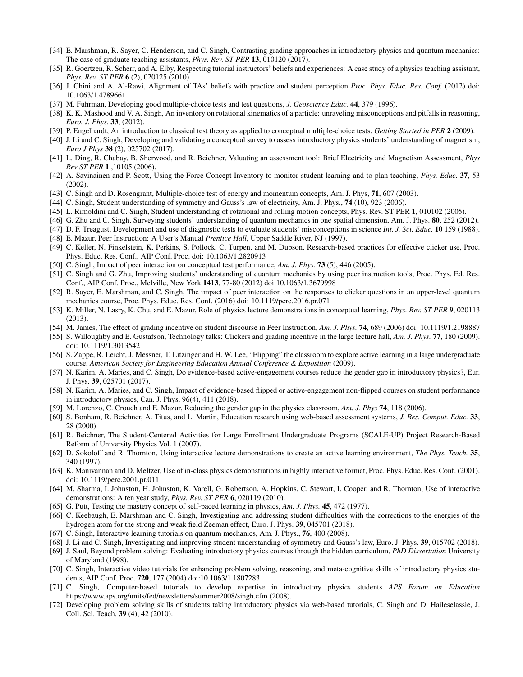- <span id="page-14-3"></span>[34] E. Marshman, R. Sayer, C. Henderson, and C. Singh, Contrasting grading approaches in introductory physics and quantum mechanics: The case of graduate teaching assistants, *Phys. Rev. ST PER* 13, 010120 (2017).
- <span id="page-14-0"></span>[35] R. Goertzen, R. Scherr, and A. Elby, Respecting tutorial instructors' beliefs and experiences: A case study of a physics teaching assistant, *Phys. Rev. ST PER* 6 (2), 020125 (2010).
- <span id="page-14-1"></span>[36] J. Chini and A. Al-Rawi, Alignment of TAs' beliefs with practice and student perception *Proc. Phys. Educ. Res. Conf.* (2012) doi: 10.1063/1.4789661
- <span id="page-14-4"></span>[37] M. Fuhrman, Developing good multiple-choice tests and test questions, *J. Geoscience Educ.* 44, 379 (1996).
- [38] K. K. Mashood and V. A. Singh, An inventory on rotational kinematics of a particle: unraveling misconceptions and pitfalls in reasoning, *Euro. J. Phys.* 33, (2012).
- <span id="page-14-6"></span>[39] P. Engelhardt, An introduction to classical test theory as applied to conceptual multiple-choice tests, *Getting Started in PER* 2 (2009).
- [40] J. Li and C. Singh, Developing and validating a conceptual survey to assess introductory physics students' understanding of magnetism, *Euro J Phys* 38 (2), 025702 (2017).
- [41] L. Ding, R. Chabay, B. Sherwood, and R. Beichner, Valuating an assessment tool: Brief Electricity and Magnetism Assessment, *Phys Rev ST PER* 1 ,10105 (2006).
- [42] A. Savinainen and P. Scott, Using the Force Concept Inventory to monitor student learning and to plan teaching, *Phys. Educ.* 37, 53 (2002).
- [43] C. Singh and D. Rosengrant, Multiple-choice test of energy and momentum concepts, Am. J. Phys, 71, 607 (2003).
- [44] C. Singh, Student understanding of symmetry and Gauss's law of electricity, Am. J. Phys., 74 (10), 923 (2006).
- [45] L. Rimoldini and C. Singh, Student understanding of rotational and rolling motion concepts, Phys. Rev. ST PER 1, 010102 (2005).
- <span id="page-14-5"></span>[46] G. Zhu and C. Singh, Surveying students' understanding of quantum mechanics in one spatial dimension, Am. J. Phys. 80, 252 (2012).
- <span id="page-14-7"></span>[47] D. F. Treagust, Development and use of diagnostic tests to evaluate students' misconceptions in science *Int. J. Sci. Educ.* 10 159 (1988).
- <span id="page-14-2"></span>[48] E. Mazur, Peer Instruction: A User's Manual *Prentice Hall*, Upper Saddle River, NJ (1997).
- <span id="page-14-8"></span>[49] C. Keller, N. Finkelstein, K. Perkins, S. Pollock, C. Turpen, and M. Dubson, Research-based practices for effective clicker use, Proc. Phys. Educ. Res. Conf., AIP Conf. Proc. doi: 10.1063/1.2820913
- [50] C. Singh, Impact of peer interaction on conceptual test performance, *Am. J. Phys.* 73 (5), 446 (2005).
- [51] C. Singh and G. Zhu, Improving students' understanding of quantum mechanics by using peer instruction tools, Proc. Phys. Ed. Res. Conf., AIP Conf. Proc., Melville, New York 1413, 77-80 (2012) doi:10.1063/1.3679998
- <span id="page-14-9"></span>[52] R. Sayer, E. Marshman, and C. Singh, The impact of peer interaction on the responses to clicker questions in an upper-level quantum mechanics course, Proc. Phys. Educ. Res. Conf. (2016) doi: 10.1119/perc.2016.pr.071
- <span id="page-14-10"></span>[53] K. Miller, N. Lasry, K. Chu, and E. Mazur, Role of physics lecture demonstrations in conceptual learning, *Phys. Rev. ST PER* 9, 020113 (2013).
- <span id="page-14-11"></span>[54] M. James, The effect of grading incentive on student discourse in Peer Instruction, *Am. J. Phys.* 74, 689 (2006) doi: 10.1119/1.2198887
- <span id="page-14-12"></span>[55] S. Willoughby and E. Gustafson, Technology talks: Clickers and grading incentive in the large lecture hall, *Am. J. Phys.* 77, 180 (2009). doi: 10.1119/1.3013542
- <span id="page-14-13"></span>[56] S. Zappe, R. Leicht, J. Messner, T. Litzinger and H. W. Lee, "Flipping" the classroom to explore active learning in a large undergraduate course, *American Society for Engineering Education Annual Conference & Exposition* (2009).
- [57] N. Karim, A. Maries, and C. Singh, Do evidence-based active-engagement courses reduce the gender gap in introductory physics?, Eur. J. Phys. 39, 025701 (2017).
- <span id="page-14-14"></span>[58] N. Karim, A. Maries, and C. Singh, Impact of evidence-based flipped or active-engagement non-flipped courses on student performance in introductory physics, Can. J. Phys. 96(4), 411 (2018).
- <span id="page-14-15"></span>[59] M. Lorenzo, C. Crouch and E. Mazur, Reducing the gender gap in the physics classroom, *Am. J. Phys* 74, 118 (2006).
- <span id="page-14-22"></span>[60] S. Bonham, R. Beichner, A. Titus, and L. Martin, Education research using web-based assessment systems, *J. Res. Comput. Educ.* 33, 28 (2000)
- <span id="page-14-16"></span>[61] R. Beichner, The Student-Centered Activities for Large Enrollment Undergraduate Programs (SCALE-UP) Project Research-Based Reform of University Physics Vol. 1 (2007).
- <span id="page-14-17"></span>[62] D. Sokoloff and R. Thornton, Using interactive lecture demonstrations to create an active learning environment, *The Phys. Teach.* 35, 340 (1997).
- <span id="page-14-18"></span>[63] K. Manivannan and D. Meltzer, Use of in-class physics demonstrations in highly interactive format, Proc. Phys. Educ. Res. Conf. (2001). doi: 10.1119/perc.2001.pr.011
- <span id="page-14-19"></span>[64] M. Sharma, I. Johnston, H. Johnston, K. Varell, G. Robertson, A. Hopkins, C. Stewart, I. Cooper, and R. Thornton, Use of interactive demonstrations: A ten year study, *Phys. Rev. ST PER* 6, 020119 (2010).
- <span id="page-14-20"></span>[65] G. Putt, Testing the mastery concept of self-paced learning in physics, *Am. J. Phys.* 45, 472 (1977).
- [66] C. Keebaugh, E. Marshman and C. Singh, Investigating and addressing student difficulties with the corrections to the energies of the hydrogen atom for the strong and weak field Zeeman effect, Euro. J. Phys. 39, 045701 (2018).
- [67] C. Singh, Interactive learning tutorials on quantum mechanics, Am. J. Phys., 76, 400 (2008).
- [68] J. Li and C. Singh, Investigating and improving student understanding of symmetry and Gauss's law, Euro. J. Phys. 39, 015702 (2018).
- <span id="page-14-23"></span>[69] J. Saul, Beyond problem solving: Evaluating introductory physics courses through the hidden curriculum, *PhD Dissertation* University of Maryland (1998).
- [70] C. Singh, Interactive video tutorials for enhancing problem solving, reasoning, and meta-cognitive skills of introductory physics students, AIP Conf. Proc. 720, 177 (2004) doi:10.1063/1.1807283.
- [71] C. Singh, Computer-based tutorials to develop expertise in introductory physics students *APS Forum on Education* https://www.aps.org/units/fed/newsletters/summer2008/singh.cfm (2008).
- <span id="page-14-21"></span>[72] Developing problem solving skills of students taking introductory physics via web-based tutorials, C. Singh and D. Haileselassie, J. Coll. Sci. Teach. 39 (4), 42 (2010).